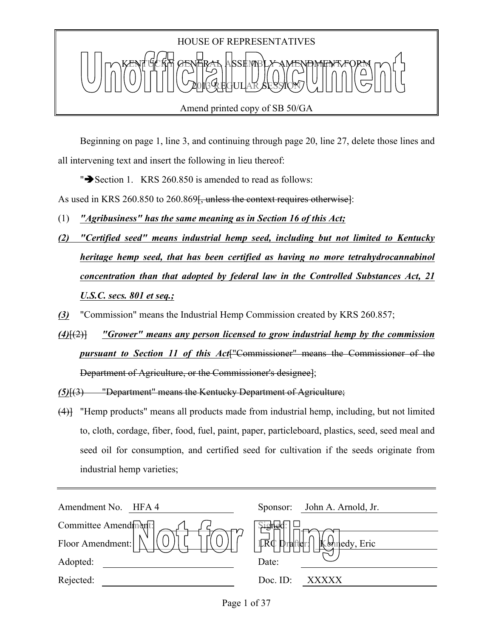

Beginning on page 1, line 3, and continuing through page 20, line 27, delete those lines and all intervening text and insert the following in lieu thereof:

" $\blacktriangleright$  Section 1. KRS 260.850 is amended to read as follows:

As used in KRS 260.850 to 260.869<del>[, unless the context requires otherwise]</del>:

- (1) *"Agribusiness" has the same meaning as in Section 16 of this Act;*
- *(2) "Certified seed" means industrial hemp seed, including but not limited to Kentucky heritage hemp seed, that has been certified as having no more tetrahydrocannabinol concentration than that adopted by federal law in the Controlled Substances Act, 21 U.S.C. secs. 801 et seq.;*
- *(3)* "Commission" means the Industrial Hemp Commission created by KRS 260.857;
- *(4)*[(2)] *"Grower" means any person licensed to grow industrial hemp by the commission pursuant to Section 11 of this Act*["Commissioner" means the Commissioner of the Department of Agriculture, or the Commissioner's designee];

*(5)*[(3) "Department" means the Kentucky Department of Agriculture;

(4)] "Hemp products" means all products made from industrial hemp, including, but not limited to, cloth, cordage, fiber, food, fuel, paint, paper, particleboard, plastics, seed, seed meal and seed oil for consumption, and certified seed for cultivation if the seeds originate from industrial hemp varieties;

| Amendment No.<br>HFA 4 | John A. Arnold, Jr.<br>Sponsor:   |
|------------------------|-----------------------------------|
| Committee Amendment:   | <del>ിരിക്</del> ന                |
| Floor Amendment:       | IR¢ I<br>Kennedy, Eric<br>rafter! |
| Adopted:               | Date:                             |
| Rejected:              | Doc. $ID$ :<br>XXXXX              |
|                        |                                   |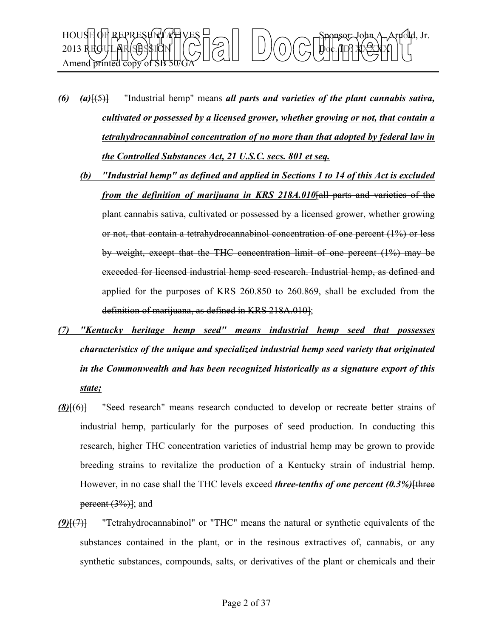

- *(6) (a)*[(5)] "Industrial hemp" means *all parts and varieties of the plant cannabis sativa, cultivated or possessed by a licensed grower, whether growing or not, that contain a tetrahydrocannabinol concentration of no more than that adopted by federal law in the Controlled Substances Act, 21 U.S.C. secs. 801 et seq.*
	- *(b) "Industrial hemp" as defined and applied in Sections 1 to 14 of this Act is excluded from the definition of marijuana in KRS 218A.010*[all parts and varieties of the plant cannabis sativa, cultivated or possessed by a licensed grower, whether growing or not, that contain a tetrahydrocannabinol concentration of one percent (1%) or less by weight, except that the THC concentration limit of one percent (1%) may be exceeded for licensed industrial hemp seed research. Industrial hemp, as defined and applied for the purposes of KRS 260.850 to 260.869, shall be excluded from the definition of marijuana, as defined in KRS 218A.010];
- *(7) "Kentucky heritage hemp seed" means industrial hemp seed that possesses characteristics of the unique and specialized industrial hemp seed variety that originated in the Commonwealth and has been recognized historically as a signature export of this state;*
- *(8)*[(6)] "Seed research" means research conducted to develop or recreate better strains of industrial hemp, particularly for the purposes of seed production. In conducting this research, higher THC concentration varieties of industrial hemp may be grown to provide breeding strains to revitalize the production of a Kentucky strain of industrial hemp. However, in no case shall the THC levels exceed *three-tenths of one percent (0.3%)*[three  $percent (3%)$ ; and
- *(9)*[(7)] "Tetrahydrocannabinol" or "THC" means the natural or synthetic equivalents of the substances contained in the plant, or in the resinous extractives of, cannabis, or any synthetic substances, compounds, salts, or derivatives of the plant or chemicals and their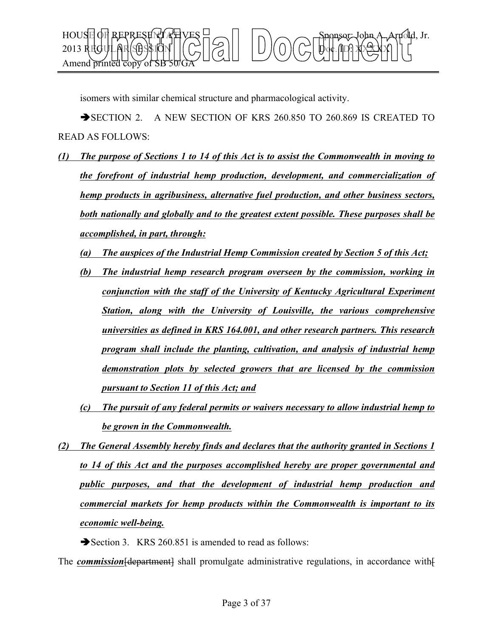

isomers with similar chemical structure and pharmacological activity.

SECTION 2. A NEW SECTION OF KRS 260.850 TO 260.869 IS CREATED TO READ AS FOLLOWS:

- *(1) The purpose of Sections 1 to 14 of this Act is to assist the Commonwealth in moving to the forefront of industrial hemp production, development, and commercialization of hemp products in agribusiness, alternative fuel production, and other business sectors, both nationally and globally and to the greatest extent possible. These purposes shall be accomplished, in part, through:*
	- *(a) The auspices of the Industrial Hemp Commission created by Section 5 of this Act;*
	- *(b) The industrial hemp research program overseen by the commission, working in conjunction with the staff of the University of Kentucky Agricultural Experiment Station, along with the University of Louisville, the various comprehensive universities as defined in KRS 164.001, and other research partners. This research program shall include the planting, cultivation, and analysis of industrial hemp demonstration plots by selected growers that are licensed by the commission pursuant to Section 11 of this Act; and*
	- *(c) The pursuit of any federal permits or waivers necessary to allow industrial hemp to be grown in the Commonwealth.*
- *(2) The General Assembly hereby finds and declares that the authority granted in Sections 1 to 14 of this Act and the purposes accomplished hereby are proper governmental and public purposes, and that the development of industrial hemp production and commercial markets for hemp products within the Commonwealth is important to its economic well-being.*
	- Section 3. KRS 260.851 is amended to read as follows:

The *commission* [department] shall promulgate administrative regulations, in accordance with [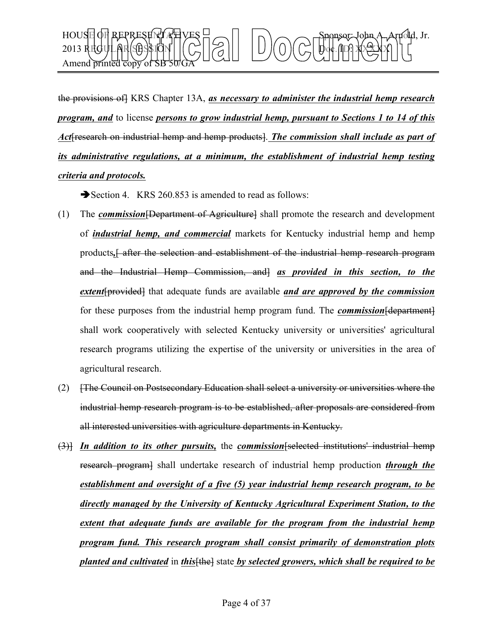

the provisions of] KRS Chapter 13A, *as necessary to administer the industrial hemp research program, and* to license *persons to grow industrial hemp, pursuant to Sections 1 to 14 of this Act*[research on industrial hemp and hemp products]. *The commission shall include as part of its administrative regulations, at a minimum, the establishment of industrial hemp testing criteria and protocols.*

Section 4. KRS 260.853 is amended to read as follows:

- (1) The *commission*[Department of Agriculture] shall promote the research and development of *industrial hemp, and commercial* markets for Kentucky industrial hemp and hemp products*,*[ after the selection and establishment of the industrial hemp research program and the Industrial Hemp Commission, and] *as provided in this section, to the extent*[provided] that adequate funds are available *and are approved by the commission* for these purposes from the industrial hemp program fund. The *commission* [department] shall work cooperatively with selected Kentucky university or universities' agricultural research programs utilizing the expertise of the university or universities in the area of agricultural research.
- (2) [The Council on Postsecondary Education shall select a university or universities where the industrial hemp research program is to be established, after proposals are considered from all interested universities with agriculture departments in Kentucky.
- (3)] *In addition to its other pursuits,* the *commission*[selected institutions' industrial hemp research program] shall undertake research of industrial hemp production *through the establishment and oversight of a five (5) year industrial hemp research program, to be directly managed by the University of Kentucky Agricultural Experiment Station, to the extent that adequate funds are available for the program from the industrial hemp program fund. This research program shall consist primarily of demonstration plots planted and cultivated* in *this*<sup>[the]</sup> state *by selected growers, which shall be required to be*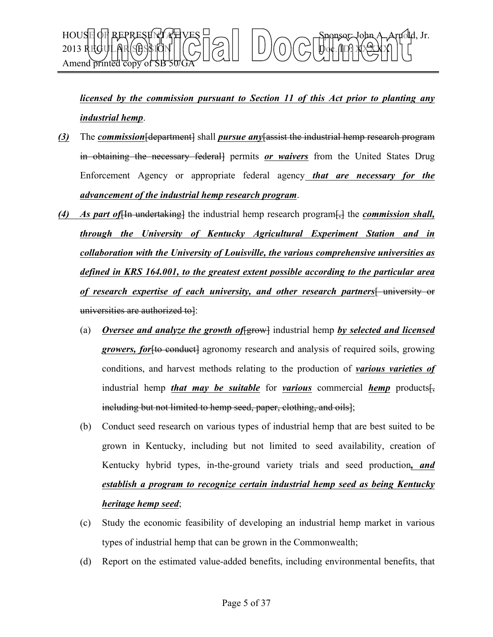

*licensed by the commission pursuant to Section 11 of this Act prior to planting any industrial hemp*.

- *(3)* The *commission*[department] shall *pursue any*[assist the industrial hemp research program in obtaining the necessary federall permits *or waivers* from the United States Drug Enforcement Agency or appropriate federal agency *that are necessary for the advancement of the industrial hemp research program*.
- *(4) As part of*<sup>[In undertaking] the industrial hemp research program<del>], t</del>he *commission shall,*</sup> *through the University of Kentucky Agricultural Experiment Station and in collaboration with the University of Louisville, the various comprehensive universities as defined in KRS 164.001, to the greatest extent possible according to the particular area*  of research expertise of each university, and other research partners<del>[ university or</del> universities are authorized to]:
	- (a) *Oversee and analyze the growth of*[grow] industrial hemp *by selected and licensed*  **growers, for**<sup>[to conduct] agronomy research and analysis of required soils, growing</sup> conditions, and harvest methods relating to the production of *various varieties of* industrial hemp *that may be suitable* for *various* commercial *hemp* products. including but not limited to hemp seed, paper, clothing, and oils];
	- (b) Conduct seed research on various types of industrial hemp that are best suited to be grown in Kentucky, including but not limited to seed availability, creation of Kentucky hybrid types, in-the-ground variety trials and seed production*, and establish a program to recognize certain industrial hemp seed as being Kentucky heritage hemp seed*;
	- (c) Study the economic feasibility of developing an industrial hemp market in various types of industrial hemp that can be grown in the Commonwealth;
	- (d) Report on the estimated value-added benefits, including environmental benefits, that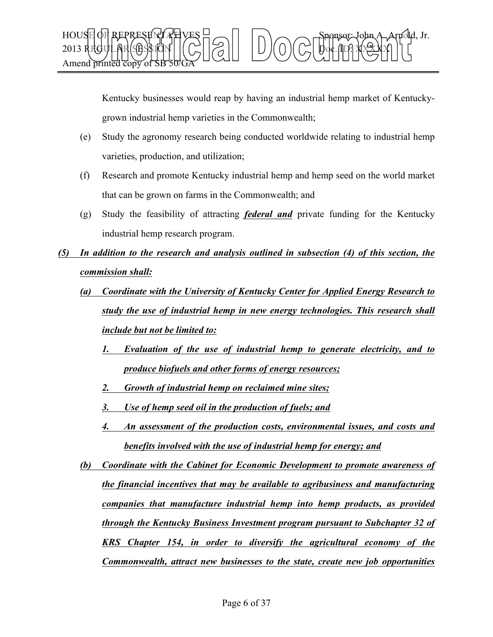

Kentucky businesses would reap by having an industrial hemp market of Kentuckygrown industrial hemp varieties in the Commonwealth;

- (e) Study the agronomy research being conducted worldwide relating to industrial hemp varieties, production, and utilization;
- (f) Research and promote Kentucky industrial hemp and hemp seed on the world market that can be grown on farms in the Commonwealth; and
- (g) Study the feasibility of attracting *federal and* private funding for the Kentucky industrial hemp research program.
- *(5) In addition to the research and analysis outlined in subsection (4) of this section, the commission shall:*
	- *(a) Coordinate with the University of Kentucky Center for Applied Energy Research to study the use of industrial hemp in new energy technologies. This research shall include but not be limited to:*
		- *1. Evaluation of the use of industrial hemp to generate electricity, and to produce biofuels and other forms of energy resources;*
		- *2. Growth of industrial hemp on reclaimed mine sites;*
		- *3. Use of hemp seed oil in the production of fuels; and*
		- *4. An assessment of the production costs, environmental issues, and costs and benefits involved with the use of industrial hemp for energy; and*

*(b) Coordinate with the Cabinet for Economic Development to promote awareness of the financial incentives that may be available to agribusiness and manufacturing companies that manufacture industrial hemp into hemp products, as provided through the Kentucky Business Investment program pursuant to Subchapter 32 of KRS Chapter 154, in order to diversify the agricultural economy of the Commonwealth, attract new businesses to the state, create new job opportunities*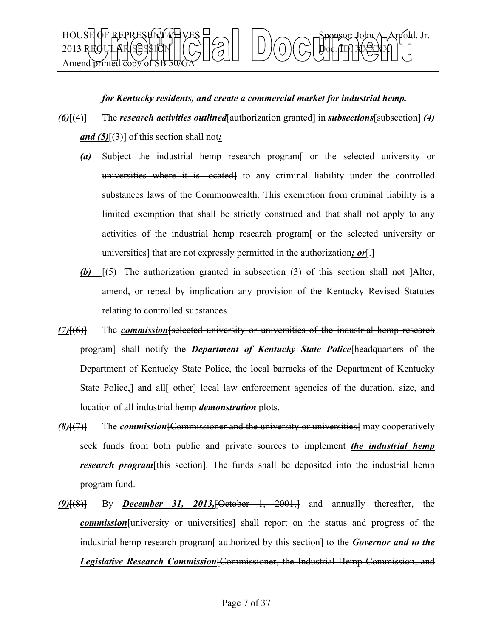

#### *for Kentucky residents, and create a commercial market for industrial hemp.*

- *(6)*[(4)] The *research activities outlined*[authorization granted] in *subsections*[subsection] *(4) and (5)* $\left[\frac{(3)}{(3)}\right]$  of this section shall not:
	- *(a)* Subject the industrial hemp research program[ or the selected university or universities where it is located to any criminal liability under the controlled substances laws of the Commonwealth. This exemption from criminal liability is a limited exemption that shall be strictly construed and that shall not apply to any activities of the industrial hemp research program<del>. Or the selected university or</del> universities<sup>1</sup> that are not expressly permitted in the authorization; *or*<sup>[1]</sup>
	- *(b)* [(5) The authorization granted in subsection (3) of this section shall not ]Alter, amend, or repeal by implication any provision of the Kentucky Revised Statutes relating to controlled substances.
- *(7)*[(6)] The *commission*[selected university or universities of the industrial hemp research program] shall notify the *Department of Kentucky State Police*[headquarters of the Department of Kentucky State Police, the local barracks of the Department of Kentucky State Police, and all fother local law enforcement agencies of the duration, size, and location of all industrial hemp *demonstration* plots.
- *(8)*[(7)] The *commission*[Commissioner and the university or universities] may cooperatively seek funds from both public and private sources to implement *the industrial hemp research program* [this section]. The funds shall be deposited into the industrial hemp program fund.
- *(9)*[(8)] By *December 31, 2013,*[October 1, 2001,] and annually thereafter, the *commission*[university or universities] shall report on the status and progress of the industrial hemp research program<del>[ authorized by this section]</del> to the *Governor and to the Legislative Research Commission*[Commissioner, the Industrial Hemp Commission, and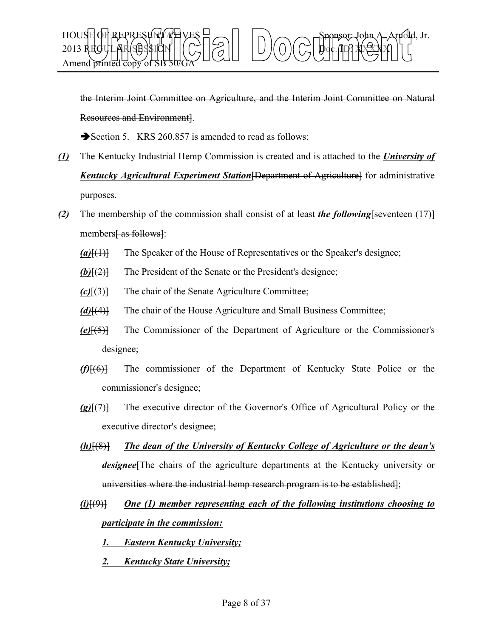

the Interim Joint Committee on Agriculture, and the Interim Joint Committee on Natural Resources and Environment].

Section 5. KRS 260.857 is amended to read as follows:

- *(1)* The Kentucky Industrial Hemp Commission is created and is attached to the *University of Kentucky Agricultural Experiment Station*[Department of Agriculture] for administrative purposes.
- *(2)* The membership of the commission shall consist of at least *the following*[seventeen (17)] members as follows.
	- *(a)*[(1)] The Speaker of the House of Representatives or the Speaker's designee;
	- *(b)*[(2)] The President of the Senate or the President's designee;
	- *(c)*[(3)] The chair of the Senate Agriculture Committee;
	- *(d)*[(4)] The chair of the House Agriculture and Small Business Committee;
	- *(e)*[(5)] The Commissioner of the Department of Agriculture or the Commissioner's designee;
	- *(f)*[(6)] The commissioner of the Department of Kentucky State Police or the commissioner's designee;
	- *(g)*[(7)] The executive director of the Governor's Office of Agricultural Policy or the executive director's designee;
	- *(h)*[(8)] *The dean of the University of Kentucky College of Agriculture or the dean's designee*[The chairs of the agriculture departments at the Kentucky university or universities where the industrial hemp research program is to be established];

### *(i)*[(9)] *One (1) member representing each of the following institutions choosing to participate in the commission:*

- *1. Eastern Kentucky University;*
- *2. Kentucky State University;*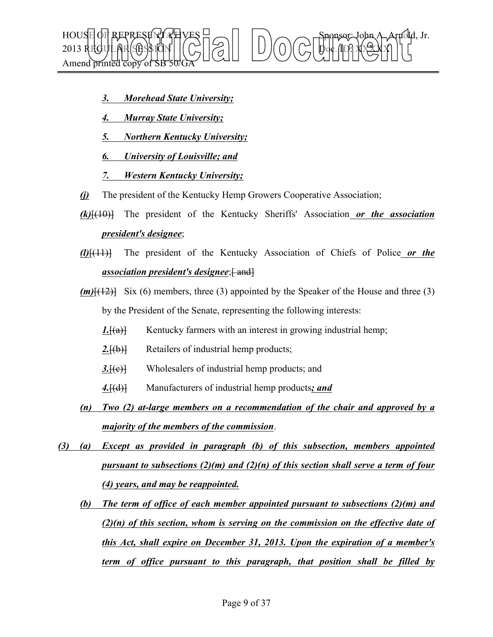

- *3. Morehead State University;*
- *4. Murray State University;*
- *5. Northern Kentucky University;*
- *6. University of Louisville; and*
- *7. Western Kentucky University;*
- *(j)* The president of the Kentucky Hemp Growers Cooperative Association;
- *(k)*[(10)] The president of the Kentucky Sheriffs' Association *or the association president's designee*;
- *(l)*[(11)] The president of the Kentucky Association of Chiefs of Police *or the association president's designee*;  $\left\{ \text{ and }\right\}$
- *(m)*[(12)] Six (6) members, three (3) appointed by the Speaker of the House and three (3) by the President of the Senate, representing the following interests:
	- *1.*[(a)] Kentucky farmers with an interest in growing industrial hemp;
	- 2. [(b)] Retailers of industrial hemp products;
	- **3.**[(e)] Wholesalers of industrial hemp products; and
	- *4.*[(d)] Manufacturers of industrial hemp products*; and*
- *(n) Two (2) at-large members on a recommendation of the chair and approved by a majority of the members of the commission*.
- *(3) (a) Except as provided in paragraph (b) of this subsection, members appointed pursuant to subsections (2)(m) and (2)(n) of this section shall serve a term of four (4) years, and may be reappointed.*
	- *(b) The term of office of each member appointed pursuant to subsections (2)(m) and (2)(n) of this section, whom is serving on the commission on the effective date of this Act, shall expire on December 31, 2013. Upon the expiration of a member's term of office pursuant to this paragraph, that position shall be filled by*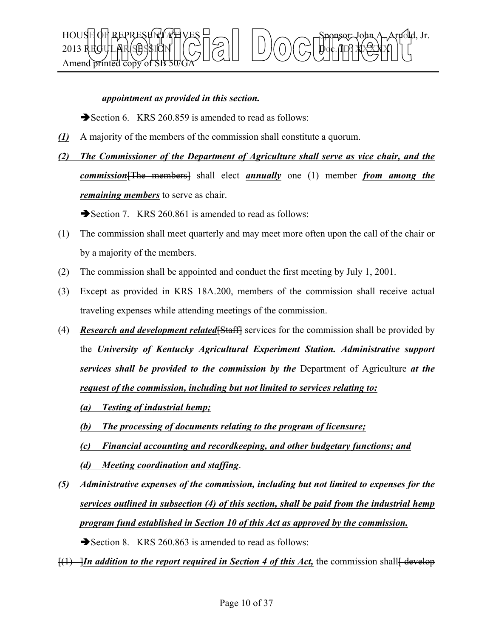

### *appointment as provided in this section.*

- Section 6. KRS 260.859 is amended to read as follows:
- *(1)* A majority of the members of the commission shall constitute a quorum.
- *(2) The Commissioner of the Department of Agriculture shall serve as vice chair, and the commission*[The members] shall elect *annually* one (1) member *from among the remaining members* to serve as chair.

Section 7. KRS 260.861 is amended to read as follows:

- (1) The commission shall meet quarterly and may meet more often upon the call of the chair or by a majority of the members.
- (2) The commission shall be appointed and conduct the first meeting by July 1, 2001.
- (3) Except as provided in KRS 18A.200, members of the commission shall receive actual traveling expenses while attending meetings of the commission.
- (4) *Research and development related*[Staff] services for the commission shall be provided by the *University of Kentucky Agricultural Experiment Station. Administrative support services shall be provided to the commission by the* Department of Agriculture *at the request of the commission, including but not limited to services relating to:*
	- *(a) Testing of industrial hemp;*
	- *(b) The processing of documents relating to the program of licensure;*
	- *(c) Financial accounting and recordkeeping, and other budgetary functions; and*
	- *(d) Meeting coordination and staffing*.
- *(5) Administrative expenses of the commission, including but not limited to expenses for the services outlined in subsection (4) of this section, shall be paid from the industrial hemp program fund established in Section 10 of this Act as approved by the commission.*

Section 8. KRS 260.863 is amended to read as follows:

 $\frac{f(1)}{f(1)}$ *In addition to the report required in Section 4 of this Act*, the commission shall develop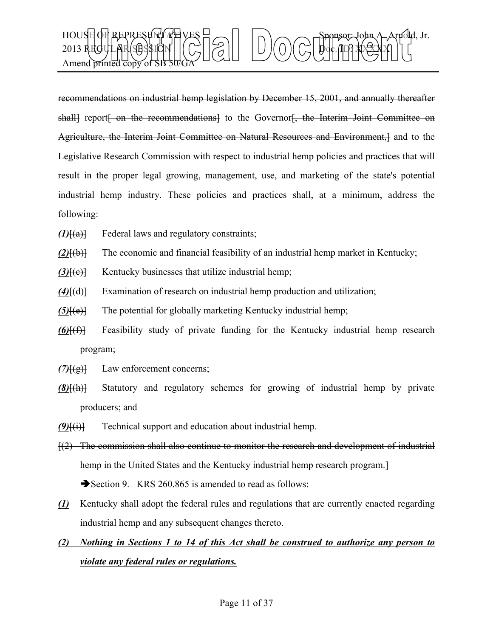

recommendations on industrial hemp legislation by December 15, 2001, and annually thereafter shall] report<del>[ on the recommendations]</del> to the Governor<del>], the Interim Joint Committee on</del> Agriculture, the Interim Joint Committee on Natural Resources and Environment,] and to the Legislative Research Commission with respect to industrial hemp policies and practices that will result in the proper legal growing, management, use, and marketing of the state's potential industrial hemp industry. These policies and practices shall, at a minimum, address the following:

- *(1)*[(a)] Federal laws and regulatory constraints;
- *(2)*[(b)] The economic and financial feasibility of an industrial hemp market in Kentucky;
- *(3)*[(c)] Kentucky businesses that utilize industrial hemp;
- *(4)*[(d)] Examination of research on industrial hemp production and utilization;
- *(5)*[(e)] The potential for globally marketing Kentucky industrial hemp;
- *(6)*[(f)] Feasibility study of private funding for the Kentucky industrial hemp research program;
- *(7)*[(g)] Law enforcement concerns;
- *(8)*[(h)] Statutory and regulatory schemes for growing of industrial hemp by private producers; and
- *(9)*[(i)] Technical support and education about industrial hemp.

[(2) The commission shall also continue to monitor the research and development of industrial hemp in the United States and the Kentucky industrial hemp research program. Section 9. KRS 260.865 is amended to read as follows:

- *(1)* Kentucky shall adopt the federal rules and regulations that are currently enacted regarding industrial hemp and any subsequent changes thereto.
- *(2) Nothing in Sections 1 to 14 of this Act shall be construed to authorize any person to violate any federal rules or regulations.*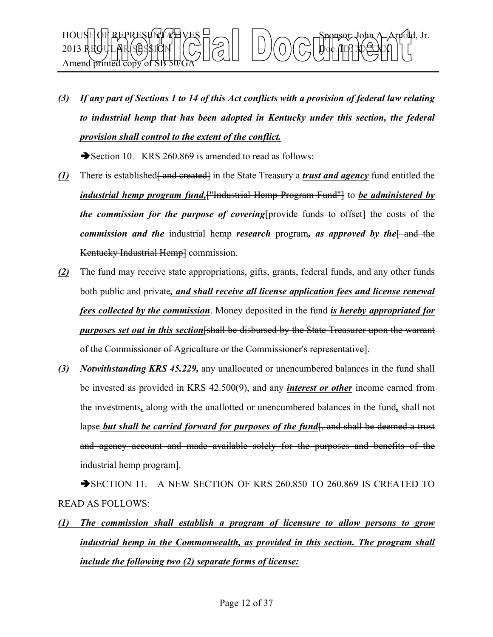

*(3) If any part of Sections 1 to 14 of this Act conflicts with a provision of federal law relating to industrial hemp that has been adopted in Kentucky under this section, the federal provision shall control to the extent of the conflict.*

Section 10. KRS 260.869 is amended to read as follows:

- *(1)* There is established<del>[ and created]</del> in the State Treasury a *trust and agency* fund entitled the *industrial hemp program fund,*["Industrial Hemp Program Fund"] to *be administered by the commission for the purpose of covering provide funds to offset in the costs of the commission and the industrial hemp research program, as approved by the*[ and the Kentucky Industrial Hemp] commission.
- *(2)* The fund may receive state appropriations, gifts, grants, federal funds, and any other funds both public and private*, and shall receive all license application fees and license renewal fees collected by the commission*. Money deposited in the fund *is hereby appropriated for purposes set out in this section*[shall be disbursed by the State Treasurer upon the warrant of the Commissioner of Agriculture or the Commissioner's representative].
- *(3) Notwithstanding KRS 45.229,* any unallocated or unencumbered balances in the fund shall be invested as provided in KRS 42.500(9), and any *interest or other* income earned from the investments*,* along with the unallotted or unencumbered balances in the fund*,* shall not lapse *but shall be carried forward for purposes of the fund*<sub>, and shall be deemed a trust</sub> and agency account and made available solely for the purposes and benefits of the industrial hemp program].

SECTION 11. A NEW SECTION OF KRS 260.850 TO 260.869 IS CREATED TO READ AS FOLLOWS:

*(1) The commission shall establish a program of licensure to allow persons to grow industrial hemp in the Commonwealth, as provided in this section. The program shall include the following two (2) separate forms of license:*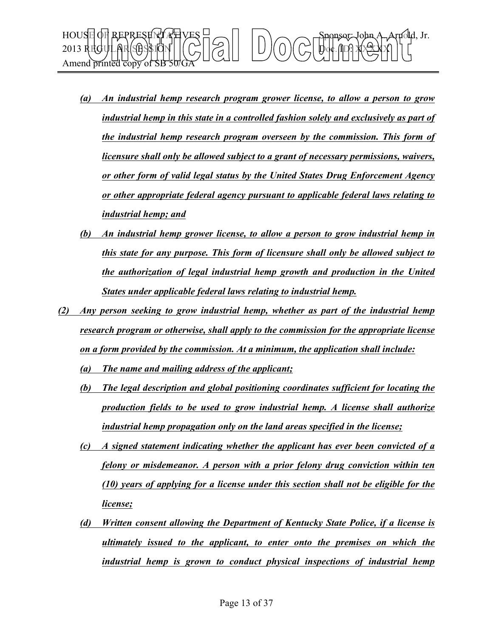

- *(a) An industrial hemp research program grower license, to allow a person to grow industrial hemp in this state in a controlled fashion solely and exclusively as part of the industrial hemp research program overseen by the commission. This form of licensure shall only be allowed subject to a grant of necessary permissions, waivers, or other form of valid legal status by the United States Drug Enforcement Agency or other appropriate federal agency pursuant to applicable federal laws relating to industrial hemp; and*
- *(b) An industrial hemp grower license, to allow a person to grow industrial hemp in this state for any purpose. This form of licensure shall only be allowed subject to the authorization of legal industrial hemp growth and production in the United States under applicable federal laws relating to industrial hemp.*
- *(2) Any person seeking to grow industrial hemp, whether as part of the industrial hemp research program or otherwise, shall apply to the commission for the appropriate license on a form provided by the commission. At a minimum, the application shall include:*
	- *(a) The name and mailing address of the applicant;*
	- *(b) The legal description and global positioning coordinates sufficient for locating the production fields to be used to grow industrial hemp. A license shall authorize industrial hemp propagation only on the land areas specified in the license;*
	- *(c) A signed statement indicating whether the applicant has ever been convicted of a felony or misdemeanor. A person with a prior felony drug conviction within ten (10) years of applying for a license under this section shall not be eligible for the license;*
	- *(d) Written consent allowing the Department of Kentucky State Police, if a license is ultimately issued to the applicant, to enter onto the premises on which the industrial hemp is grown to conduct physical inspections of industrial hemp*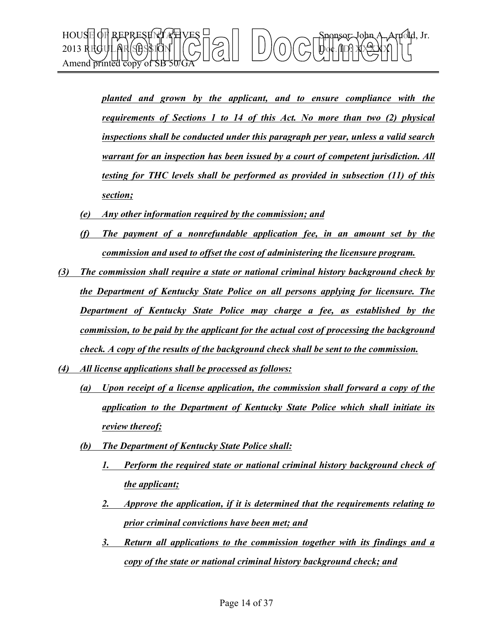

*planted and grown by the applicant, and to ensure compliance with the requirements of Sections 1 to 14 of this Act. No more than two (2) physical inspections shall be conducted under this paragraph per year, unless a valid search warrant for an inspection has been issued by a court of competent jurisdiction. All testing for THC levels shall be performed as provided in subsection (11) of this section;*

- *(e) Any other information required by the commission; and*
- *(f) The payment of a nonrefundable application fee, in an amount set by the commission and used to offset the cost of administering the licensure program.*
- *(3) The commission shall require a state or national criminal history background check by the Department of Kentucky State Police on all persons applying for licensure. The Department of Kentucky State Police may charge a fee, as established by the commission, to be paid by the applicant for the actual cost of processing the background check. A copy of the results of the background check shall be sent to the commission.*
- *(4) All license applications shall be processed as follows:*
	- *(a) Upon receipt of a license application, the commission shall forward a copy of the application to the Department of Kentucky State Police which shall initiate its review thereof;*
	- *(b) The Department of Kentucky State Police shall:*
		- *1. Perform the required state or national criminal history background check of the applicant;*
		- *2. Approve the application, if it is determined that the requirements relating to prior criminal convictions have been met; and*
		- *3. Return all applications to the commission together with its findings and a copy of the state or national criminal history background check; and*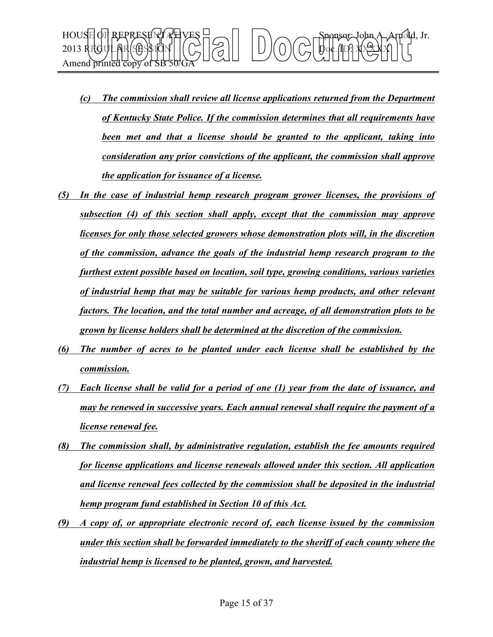

- *(c) The commission shall review all license applications returned from the Department of Kentucky State Police. If the commission determines that all requirements have been met and that a license should be granted to the applicant, taking into consideration any prior convictions of the applicant, the commission shall approve the application for issuance of a license.*
- *(5) In the case of industrial hemp research program grower licenses, the provisions of subsection (4) of this section shall apply, except that the commission may approve licenses for only those selected growers whose demonstration plots will, in the discretion of the commission, advance the goals of the industrial hemp research program to the furthest extent possible based on location, soil type, growing conditions, various varieties of industrial hemp that may be suitable for various hemp products, and other relevant factors. The location, and the total number and acreage, of all demonstration plots to be grown by license holders shall be determined at the discretion of the commission.*
- *(6) The number of acres to be planted under each license shall be established by the commission.*
- *(7) Each license shall be valid for a period of one (1) year from the date of issuance, and may be renewed in successive years. Each annual renewal shall require the payment of a license renewal fee.*
- *(8) The commission shall, by administrative regulation, establish the fee amounts required for license applications and license renewals allowed under this section. All application and license renewal fees collected by the commission shall be deposited in the industrial hemp program fund established in Section 10 of this Act.*
- *(9) A copy of, or appropriate electronic record of, each license issued by the commission under this section shall be forwarded immediately to the sheriff of each county where the industrial hemp is licensed to be planted, grown, and harvested.*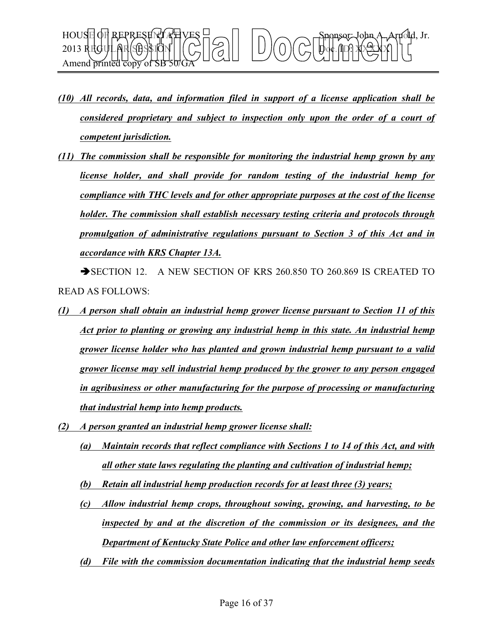

- *(10) All records, data, and information filed in support of a license application shall be considered proprietary and subject to inspection only upon the order of a court of competent jurisdiction.*
- *(11) The commission shall be responsible for monitoring the industrial hemp grown by any license holder, and shall provide for random testing of the industrial hemp for compliance with THC levels and for other appropriate purposes at the cost of the license holder. The commission shall establish necessary testing criteria and protocols through promulgation of administrative regulations pursuant to Section 3 of this Act and in accordance with KRS Chapter 13A.*

SECTION 12. A NEW SECTION OF KRS 260.850 TO 260.869 IS CREATED TO READ AS FOLLOWS:

- *(1) A person shall obtain an industrial hemp grower license pursuant to Section 11 of this Act prior to planting or growing any industrial hemp in this state. An industrial hemp grower license holder who has planted and grown industrial hemp pursuant to a valid grower license may sell industrial hemp produced by the grower to any person engaged in agribusiness or other manufacturing for the purpose of processing or manufacturing that industrial hemp into hemp products.*
- *(2) A person granted an industrial hemp grower license shall:*
	- *(a) Maintain records that reflect compliance with Sections 1 to 14 of this Act, and with all other state laws regulating the planting and cultivation of industrial hemp;*
	- *(b) Retain all industrial hemp production records for at least three (3) years;*
	- *(c) Allow industrial hemp crops, throughout sowing, growing, and harvesting, to be inspected by and at the discretion of the commission or its designees, and the Department of Kentucky State Police and other law enforcement officers;*
	- *(d) File with the commission documentation indicating that the industrial hemp seeds*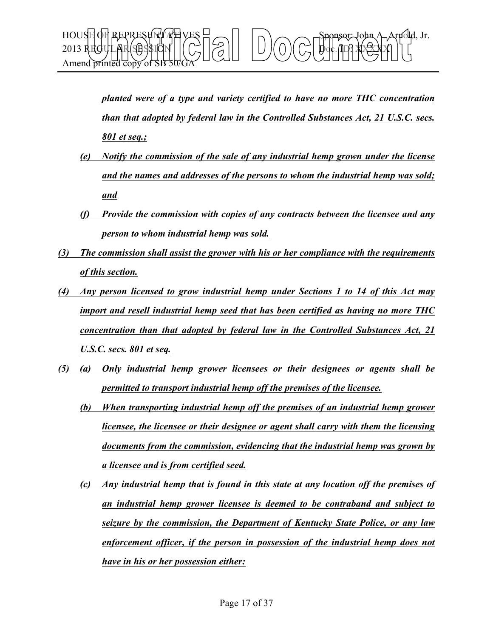

*planted were of a type and variety certified to have no more THC concentration than that adopted by federal law in the Controlled Substances Act, 21 U.S.C. secs. 801 et seq.;*

- *(e) Notify the commission of the sale of any industrial hemp grown under the license and the names and addresses of the persons to whom the industrial hemp was sold; and*
- *(f) Provide the commission with copies of any contracts between the licensee and any person to whom industrial hemp was sold.*
- *(3) The commission shall assist the grower with his or her compliance with the requirements of this section.*
- *(4) Any person licensed to grow industrial hemp under Sections 1 to 14 of this Act may import and resell industrial hemp seed that has been certified as having no more THC concentration than that adopted by federal law in the Controlled Substances Act, 21 U.S.C. secs. 801 et seq.*
- *(5) (a) Only industrial hemp grower licensees or their designees or agents shall be permitted to transport industrial hemp off the premises of the licensee.*
	- *(b) When transporting industrial hemp off the premises of an industrial hemp grower licensee, the licensee or their designee or agent shall carry with them the licensing documents from the commission, evidencing that the industrial hemp was grown by a licensee and is from certified seed.*
	- *(c) Any industrial hemp that is found in this state at any location off the premises of an industrial hemp grower licensee is deemed to be contraband and subject to seizure by the commission, the Department of Kentucky State Police, or any law enforcement officer, if the person in possession of the industrial hemp does not have in his or her possession either:*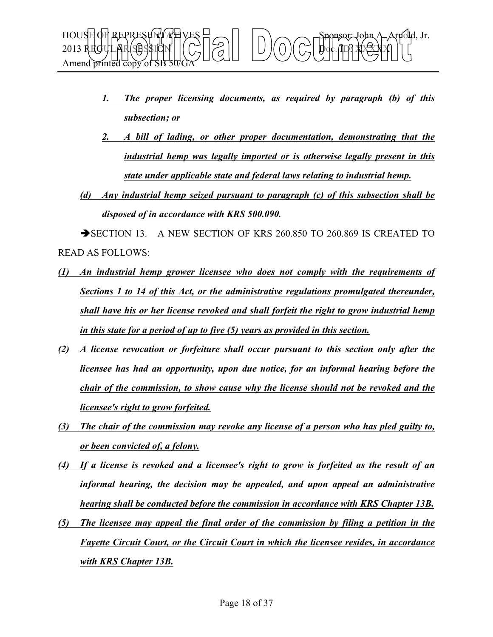

- *1. The proper licensing documents, as required by paragraph (b) of this subsection; or*
- *2. A bill of lading, or other proper documentation, demonstrating that the industrial hemp was legally imported or is otherwise legally present in this state under applicable state and federal laws relating to industrial hemp.*
- *(d) Any industrial hemp seized pursuant to paragraph (c) of this subsection shall be disposed of in accordance with KRS 500.090.*

SECTION 13. A NEW SECTION OF KRS 260.850 TO 260.869 IS CREATED TO READ AS FOLLOWS:

- *(1) An industrial hemp grower licensee who does not comply with the requirements of Sections 1 to 14 of this Act, or the administrative regulations promulgated thereunder, shall have his or her license revoked and shall forfeit the right to grow industrial hemp in this state for a period of up to five (5) years as provided in this section.*
- *(2) A license revocation or forfeiture shall occur pursuant to this section only after the licensee has had an opportunity, upon due notice, for an informal hearing before the chair of the commission, to show cause why the license should not be revoked and the licensee's right to grow forfeited.*
- *(3) The chair of the commission may revoke any license of a person who has pled guilty to, or been convicted of, a felony.*
- *(4) If a license is revoked and a licensee's right to grow is forfeited as the result of an informal hearing, the decision may be appealed, and upon appeal an administrative hearing shall be conducted before the commission in accordance with KRS Chapter 13B.*
- *(5) The licensee may appeal the final order of the commission by filing a petition in the Fayette Circuit Court, or the Circuit Court in which the licensee resides, in accordance with KRS Chapter 13B.*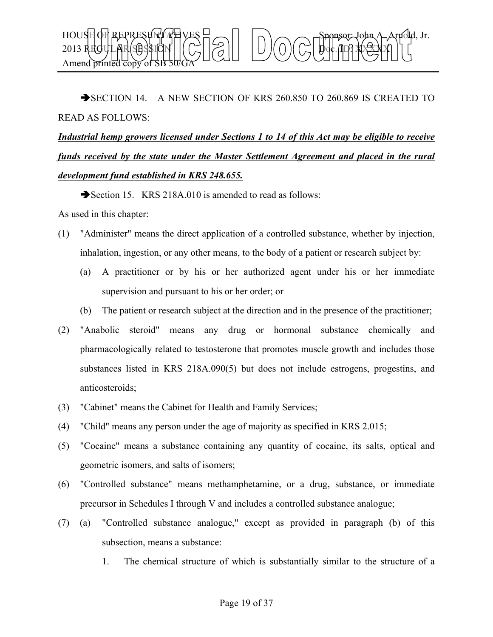

# SECTION 14. A NEW SECTION OF KRS 260.850 TO 260.869 IS CREATED TO READ AS FOLLOWS:

*Industrial hemp growers licensed under Sections 1 to 14 of this Act may be eligible to receive funds received by the state under the Master Settlement Agreement and placed in the rural development fund established in KRS 248.655.*

Section 15. KRS 218A.010 is amended to read as follows:

As used in this chapter:

- (1) "Administer" means the direct application of a controlled substance, whether by injection, inhalation, ingestion, or any other means, to the body of a patient or research subject by:
	- (a) A practitioner or by his or her authorized agent under his or her immediate supervision and pursuant to his or her order; or
	- (b) The patient or research subject at the direction and in the presence of the practitioner;
- (2) "Anabolic steroid" means any drug or hormonal substance chemically and pharmacologically related to testosterone that promotes muscle growth and includes those substances listed in KRS 218A.090(5) but does not include estrogens, progestins, and anticosteroids;
- (3) "Cabinet" means the Cabinet for Health and Family Services;
- (4) "Child" means any person under the age of majority as specified in KRS 2.015;
- (5) "Cocaine" means a substance containing any quantity of cocaine, its salts, optical and geometric isomers, and salts of isomers;
- (6) "Controlled substance" means methamphetamine, or a drug, substance, or immediate precursor in Schedules I through V and includes a controlled substance analogue;
- (7) (a) "Controlled substance analogue," except as provided in paragraph (b) of this subsection, means a substance:
	- 1. The chemical structure of which is substantially similar to the structure of a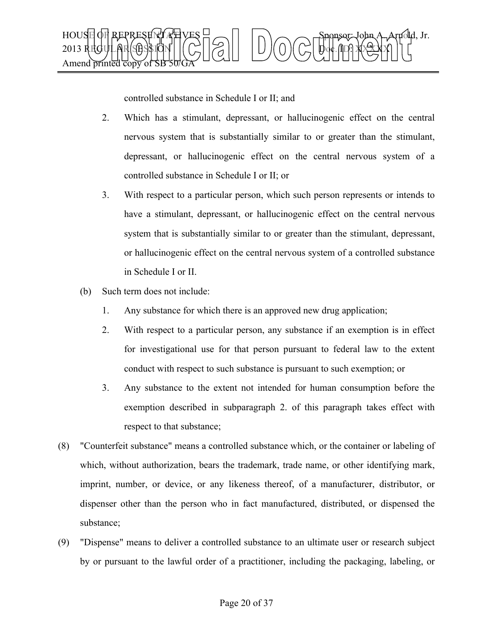

controlled substance in Schedule I or II; and

- 2. Which has a stimulant, depressant, or hallucinogenic effect on the central nervous system that is substantially similar to or greater than the stimulant, depressant, or hallucinogenic effect on the central nervous system of a controlled substance in Schedule I or II; or
- 3. With respect to a particular person, which such person represents or intends to have a stimulant, depressant, or hallucinogenic effect on the central nervous system that is substantially similar to or greater than the stimulant, depressant, or hallucinogenic effect on the central nervous system of a controlled substance in Schedule I or II.
- (b) Such term does not include:
	- 1. Any substance for which there is an approved new drug application;
	- 2. With respect to a particular person, any substance if an exemption is in effect for investigational use for that person pursuant to federal law to the extent conduct with respect to such substance is pursuant to such exemption; or
	- 3. Any substance to the extent not intended for human consumption before the exemption described in subparagraph 2. of this paragraph takes effect with respect to that substance;
- (8) "Counterfeit substance" means a controlled substance which, or the container or labeling of which, without authorization, bears the trademark, trade name, or other identifying mark, imprint, number, or device, or any likeness thereof, of a manufacturer, distributor, or dispenser other than the person who in fact manufactured, distributed, or dispensed the substance;
- (9) "Dispense" means to deliver a controlled substance to an ultimate user or research subject by or pursuant to the lawful order of a practitioner, including the packaging, labeling, or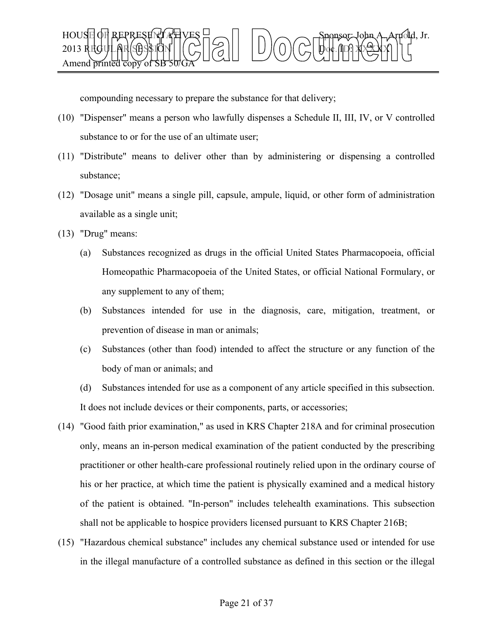

compounding necessary to prepare the substance for that delivery;

- (10) "Dispenser" means a person who lawfully dispenses a Schedule II, III, IV, or V controlled substance to or for the use of an ultimate user;
- (11) "Distribute" means to deliver other than by administering or dispensing a controlled substance;
- (12) "Dosage unit" means a single pill, capsule, ampule, liquid, or other form of administration available as a single unit;
- (13) "Drug" means:
	- (a) Substances recognized as drugs in the official United States Pharmacopoeia, official Homeopathic Pharmacopoeia of the United States, or official National Formulary, or any supplement to any of them;
	- (b) Substances intended for use in the diagnosis, care, mitigation, treatment, or prevention of disease in man or animals;
	- (c) Substances (other than food) intended to affect the structure or any function of the body of man or animals; and
	- (d) Substances intended for use as a component of any article specified in this subsection. It does not include devices or their components, parts, or accessories;
- (14) "Good faith prior examination," as used in KRS Chapter 218A and for criminal prosecution only, means an in-person medical examination of the patient conducted by the prescribing practitioner or other health-care professional routinely relied upon in the ordinary course of his or her practice, at which time the patient is physically examined and a medical history of the patient is obtained. "In-person" includes telehealth examinations. This subsection shall not be applicable to hospice providers licensed pursuant to KRS Chapter 216B;
- (15) "Hazardous chemical substance" includes any chemical substance used or intended for use in the illegal manufacture of a controlled substance as defined in this section or the illegal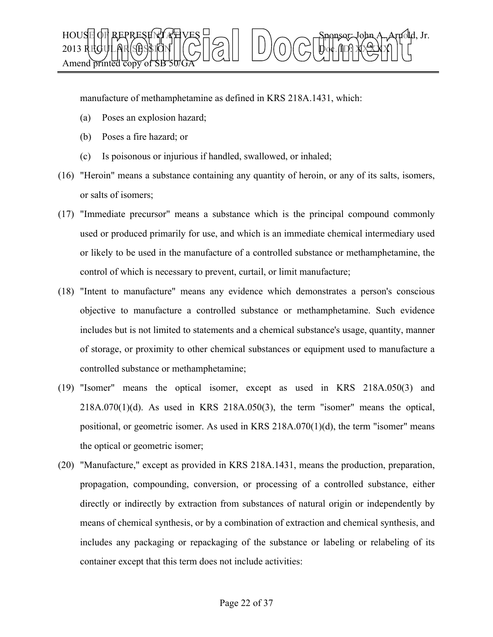

manufacture of methamphetamine as defined in KRS 218A.1431, which:

- (a) Poses an explosion hazard;
- (b) Poses a fire hazard; or
- (c) Is poisonous or injurious if handled, swallowed, or inhaled;
- (16) "Heroin" means a substance containing any quantity of heroin, or any of its salts, isomers, or salts of isomers;
- (17) "Immediate precursor" means a substance which is the principal compound commonly used or produced primarily for use, and which is an immediate chemical intermediary used or likely to be used in the manufacture of a controlled substance or methamphetamine, the control of which is necessary to prevent, curtail, or limit manufacture;
- (18) "Intent to manufacture" means any evidence which demonstrates a person's conscious objective to manufacture a controlled substance or methamphetamine. Such evidence includes but is not limited to statements and a chemical substance's usage, quantity, manner of storage, or proximity to other chemical substances or equipment used to manufacture a controlled substance or methamphetamine;
- (19) "Isomer" means the optical isomer, except as used in KRS 218A.050(3) and  $218A.070(1)(d)$ . As used in KRS  $218A.050(3)$ , the term "isomer" means the optical, positional, or geometric isomer. As used in KRS  $218A.070(1)(d)$ , the term "isomer" means the optical or geometric isomer;
- (20) "Manufacture," except as provided in KRS 218A.1431, means the production, preparation, propagation, compounding, conversion, or processing of a controlled substance, either directly or indirectly by extraction from substances of natural origin or independently by means of chemical synthesis, or by a combination of extraction and chemical synthesis, and includes any packaging or repackaging of the substance or labeling or relabeling of its container except that this term does not include activities: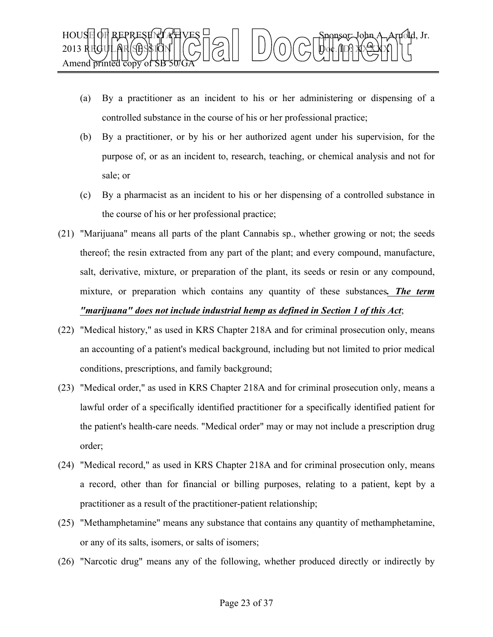

- (a) By a practitioner as an incident to his or her administering or dispensing of a controlled substance in the course of his or her professional practice;
- (b) By a practitioner, or by his or her authorized agent under his supervision, for the purpose of, or as an incident to, research, teaching, or chemical analysis and not for sale; or
- (c) By a pharmacist as an incident to his or her dispensing of a controlled substance in the course of his or her professional practice;
- (21) "Marijuana" means all parts of the plant Cannabis sp., whether growing or not; the seeds thereof; the resin extracted from any part of the plant; and every compound, manufacture, salt, derivative, mixture, or preparation of the plant, its seeds or resin or any compound, mixture, or preparation which contains any quantity of these substances*. The term "marijuana" does not include industrial hemp as defined in Section 1 of this Act*;
- (22) "Medical history," as used in KRS Chapter 218A and for criminal prosecution only, means an accounting of a patient's medical background, including but not limited to prior medical conditions, prescriptions, and family background;
- (23) "Medical order," as used in KRS Chapter 218A and for criminal prosecution only, means a lawful order of a specifically identified practitioner for a specifically identified patient for the patient's health-care needs. "Medical order" may or may not include a prescription drug order;
- (24) "Medical record," as used in KRS Chapter 218A and for criminal prosecution only, means a record, other than for financial or billing purposes, relating to a patient, kept by a practitioner as a result of the practitioner-patient relationship;
- (25) "Methamphetamine" means any substance that contains any quantity of methamphetamine, or any of its salts, isomers, or salts of isomers;
- (26) "Narcotic drug" means any of the following, whether produced directly or indirectly by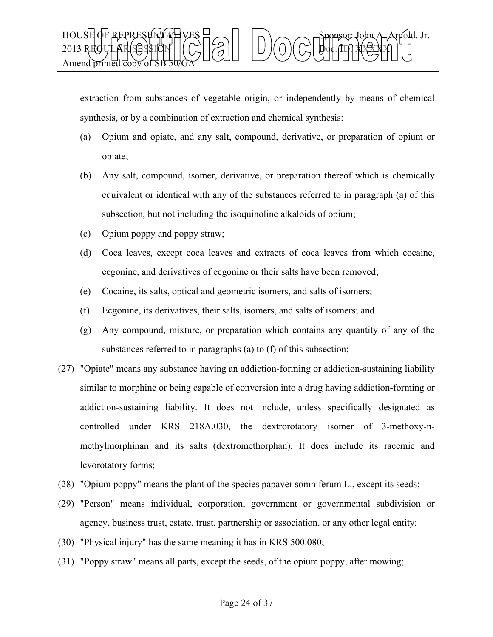

extraction from substances of vegetable origin, or independently by means of chemical synthesis, or by a combination of extraction and chemical synthesis:

- (a) Opium and opiate, and any salt, compound, derivative, or preparation of opium or opiate;
- (b) Any salt, compound, isomer, derivative, or preparation thereof which is chemically equivalent or identical with any of the substances referred to in paragraph (a) of this subsection, but not including the isoquinoline alkaloids of opium;
- (c) Opium poppy and poppy straw;
- (d) Coca leaves, except coca leaves and extracts of coca leaves from which cocaine, ecgonine, and derivatives of ecgonine or their salts have been removed;
- (e) Cocaine, its salts, optical and geometric isomers, and salts of isomers;
- (f) Ecgonine, its derivatives, their salts, isomers, and salts of isomers; and
- (g) Any compound, mixture, or preparation which contains any quantity of any of the substances referred to in paragraphs (a) to (f) of this subsection;
- (27) "Opiate" means any substance having an addiction-forming or addiction-sustaining liability similar to morphine or being capable of conversion into a drug having addiction-forming or addiction-sustaining liability. It does not include, unless specifically designated as controlled under KRS 218A.030, the dextrorotatory isomer of 3-methoxy-nmethylmorphinan and its salts (dextromethorphan). It does include its racemic and levorotatory forms;
- (28) "Opium poppy" means the plant of the species papaver somniferum L., except its seeds;
- (29) "Person" means individual, corporation, government or governmental subdivision or agency, business trust, estate, trust, partnership or association, or any other legal entity;
- (30) "Physical injury" has the same meaning it has in KRS 500.080;
- (31) "Poppy straw" means all parts, except the seeds, of the opium poppy, after mowing;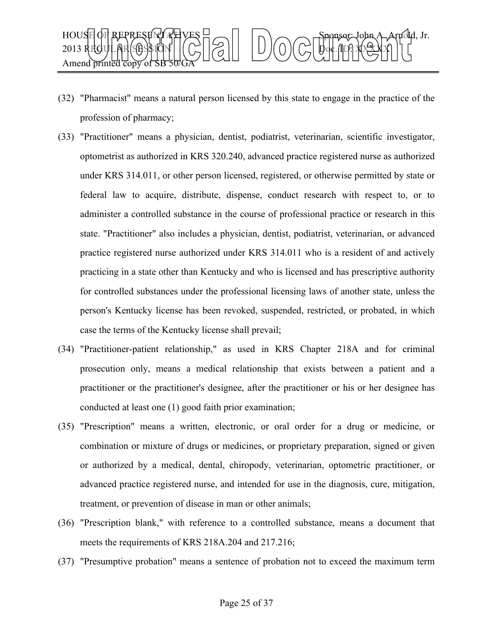

- (32) "Pharmacist" means a natural person licensed by this state to engage in the practice of the profession of pharmacy;
- (33) "Practitioner" means a physician, dentist, podiatrist, veterinarian, scientific investigator, optometrist as authorized in KRS 320.240, advanced practice registered nurse as authorized under KRS 314.011, or other person licensed, registered, or otherwise permitted by state or federal law to acquire, distribute, dispense, conduct research with respect to, or to administer a controlled substance in the course of professional practice or research in this state. "Practitioner" also includes a physician, dentist, podiatrist, veterinarian, or advanced practice registered nurse authorized under KRS 314.011 who is a resident of and actively practicing in a state other than Kentucky and who is licensed and has prescriptive authority for controlled substances under the professional licensing laws of another state, unless the person's Kentucky license has been revoked, suspended, restricted, or probated, in which case the terms of the Kentucky license shall prevail;
- (34) "Practitioner-patient relationship," as used in KRS Chapter 218A and for criminal prosecution only, means a medical relationship that exists between a patient and a practitioner or the practitioner's designee, after the practitioner or his or her designee has conducted at least one (1) good faith prior examination;
- (35) "Prescription" means a written, electronic, or oral order for a drug or medicine, or combination or mixture of drugs or medicines, or proprietary preparation, signed or given or authorized by a medical, dental, chiropody, veterinarian, optometric practitioner, or advanced practice registered nurse, and intended for use in the diagnosis, cure, mitigation, treatment, or prevention of disease in man or other animals;
- (36) "Prescription blank," with reference to a controlled substance, means a document that meets the requirements of KRS 218A.204 and 217.216;
- (37) "Presumptive probation" means a sentence of probation not to exceed the maximum term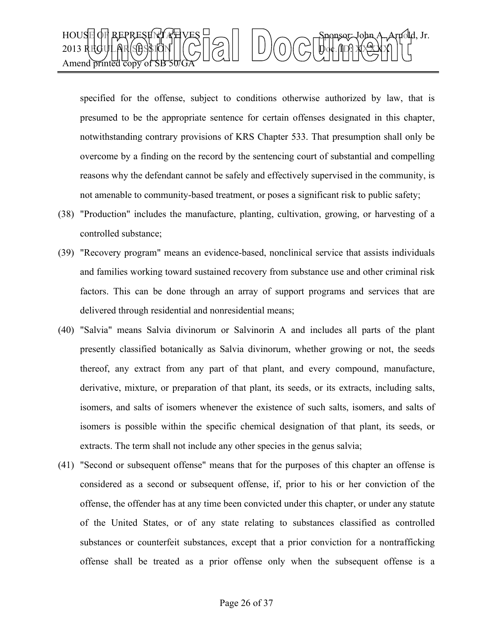

specified for the offense, subject to conditions otherwise authorized by law, that is presumed to be the appropriate sentence for certain offenses designated in this chapter, notwithstanding contrary provisions of KRS Chapter 533. That presumption shall only be overcome by a finding on the record by the sentencing court of substantial and compelling reasons why the defendant cannot be safely and effectively supervised in the community, is not amenable to community-based treatment, or poses a significant risk to public safety;

- (38) "Production" includes the manufacture, planting, cultivation, growing, or harvesting of a controlled substance;
- (39) "Recovery program" means an evidence-based, nonclinical service that assists individuals and families working toward sustained recovery from substance use and other criminal risk factors. This can be done through an array of support programs and services that are delivered through residential and nonresidential means;
- (40) "Salvia" means Salvia divinorum or Salvinorin A and includes all parts of the plant presently classified botanically as Salvia divinorum, whether growing or not, the seeds thereof, any extract from any part of that plant, and every compound, manufacture, derivative, mixture, or preparation of that plant, its seeds, or its extracts, including salts, isomers, and salts of isomers whenever the existence of such salts, isomers, and salts of isomers is possible within the specific chemical designation of that plant, its seeds, or extracts. The term shall not include any other species in the genus salvia;
- (41) "Second or subsequent offense" means that for the purposes of this chapter an offense is considered as a second or subsequent offense, if, prior to his or her conviction of the offense, the offender has at any time been convicted under this chapter, or under any statute of the United States, or of any state relating to substances classified as controlled substances or counterfeit substances, except that a prior conviction for a nontrafficking offense shall be treated as a prior offense only when the subsequent offense is a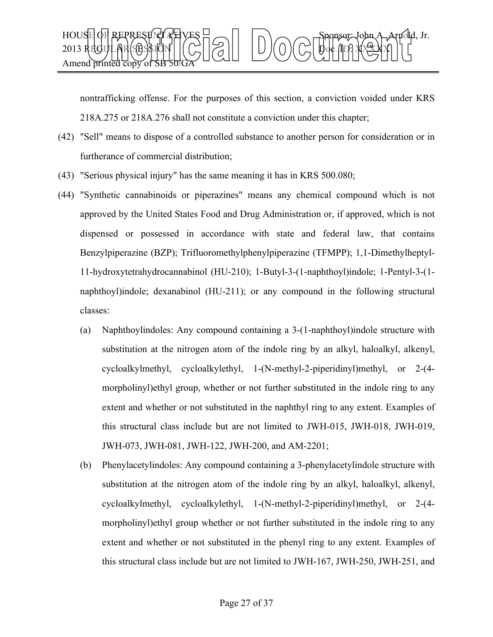

nontrafficking offense. For the purposes of this section, a conviction voided under KRS 218A.275 or 218A.276 shall not constitute a conviction under this chapter;

- (42) "Sell" means to dispose of a controlled substance to another person for consideration or in furtherance of commercial distribution;
- (43) "Serious physical injury" has the same meaning it has in KRS 500.080;
- (44) "Synthetic cannabinoids or piperazines" means any chemical compound which is not approved by the United States Food and Drug Administration or, if approved, which is not dispensed or possessed in accordance with state and federal law, that contains Benzylpiperazine (BZP); Trifluoromethylphenylpiperazine (TFMPP); 1,1-Dimethylheptyl-11-hydroxytetrahydrocannabinol (HU-210); 1-Butyl-3-(1-naphthoyl)indole; 1-Pentyl-3-(1 naphthoyl)indole; dexanabinol (HU-211); or any compound in the following structural classes:
	- (a) Naphthoylindoles: Any compound containing a 3-(1-naphthoyl)indole structure with substitution at the nitrogen atom of the indole ring by an alkyl, haloalkyl, alkenyl, cycloalkylmethyl, cycloalkylethyl, 1-(N-methyl-2-piperidinyl)methyl, or 2-(4 morpholinyl)ethyl group, whether or not further substituted in the indole ring to any extent and whether or not substituted in the naphthyl ring to any extent. Examples of this structural class include but are not limited to JWH-015, JWH-018, JWH-019, JWH-073, JWH-081, JWH-122, JWH-200, and AM-2201;
	- (b) Phenylacetylindoles: Any compound containing a 3-phenylacetylindole structure with substitution at the nitrogen atom of the indole ring by an alkyl, haloalkyl, alkenyl, cycloalkylmethyl, cycloalkylethyl, 1-(N-methyl-2-piperidinyl)methyl, or 2-(4 morpholinyl)ethyl group whether or not further substituted in the indole ring to any extent and whether or not substituted in the phenyl ring to any extent. Examples of this structural class include but are not limited to JWH-167, JWH-250, JWH-251, and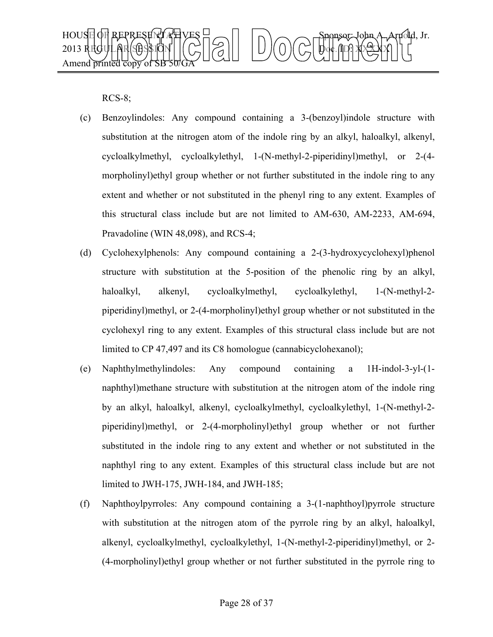

RCS-8;

- (c) Benzoylindoles: Any compound containing a 3-(benzoyl)indole structure with substitution at the nitrogen atom of the indole ring by an alkyl, haloalkyl, alkenyl, cycloalkylmethyl, cycloalkylethyl, 1-(N-methyl-2-piperidinyl)methyl, or 2-(4 morpholinyl)ethyl group whether or not further substituted in the indole ring to any extent and whether or not substituted in the phenyl ring to any extent. Examples of this structural class include but are not limited to AM-630, AM-2233, AM-694, Pravadoline (WIN 48,098), and RCS-4;
- (d) Cyclohexylphenols: Any compound containing a 2-(3-hydroxycyclohexyl)phenol structure with substitution at the 5-position of the phenolic ring by an alkyl, haloalkyl, alkenyl, cycloalkylmethyl, cycloalkylethyl, 1-(N-methyl-2 piperidinyl)methyl, or 2-(4-morpholinyl)ethyl group whether or not substituted in the cyclohexyl ring to any extent. Examples of this structural class include but are not limited to CP 47,497 and its C8 homologue (cannabicyclohexanol);
- (e) Naphthylmethylindoles: Any compound containing a 1H-indol-3-yl-(1 naphthyl)methane structure with substitution at the nitrogen atom of the indole ring by an alkyl, haloalkyl, alkenyl, cycloalkylmethyl, cycloalkylethyl, 1-(N-methyl-2 piperidinyl)methyl, or 2-(4-morpholinyl)ethyl group whether or not further substituted in the indole ring to any extent and whether or not substituted in the naphthyl ring to any extent. Examples of this structural class include but are not limited to JWH-175, JWH-184, and JWH-185;
- (f) Naphthoylpyrroles: Any compound containing a 3-(1-naphthoyl)pyrrole structure with substitution at the nitrogen atom of the pyrrole ring by an alkyl, haloalkyl, alkenyl, cycloalkylmethyl, cycloalkylethyl, 1-(N-methyl-2-piperidinyl)methyl, or 2- (4-morpholinyl)ethyl group whether or not further substituted in the pyrrole ring to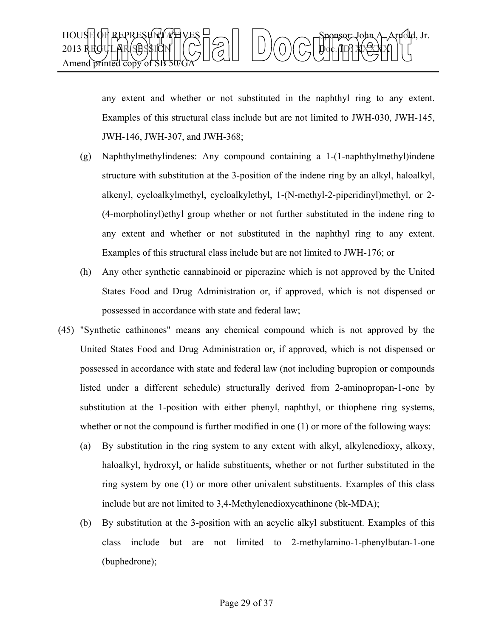

any extent and whether or not substituted in the naphthyl ring to any extent. Examples of this structural class include but are not limited to JWH-030, JWH-145, JWH-146, JWH-307, and JWH-368;

- (g) Naphthylmethylindenes: Any compound containing a 1-(1-naphthylmethyl)indene structure with substitution at the 3-position of the indene ring by an alkyl, haloalkyl, alkenyl, cycloalkylmethyl, cycloalkylethyl, 1-(N-methyl-2-piperidinyl)methyl, or 2- (4-morpholinyl)ethyl group whether or not further substituted in the indene ring to any extent and whether or not substituted in the naphthyl ring to any extent. Examples of this structural class include but are not limited to JWH-176; or
- (h) Any other synthetic cannabinoid or piperazine which is not approved by the United States Food and Drug Administration or, if approved, which is not dispensed or possessed in accordance with state and federal law;
- (45) "Synthetic cathinones" means any chemical compound which is not approved by the United States Food and Drug Administration or, if approved, which is not dispensed or possessed in accordance with state and federal law (not including bupropion or compounds listed under a different schedule) structurally derived from 2-aminopropan-1-one by substitution at the 1-position with either phenyl, naphthyl, or thiophene ring systems, whether or not the compound is further modified in one (1) or more of the following ways:
	- (a) By substitution in the ring system to any extent with alkyl, alkylenedioxy, alkoxy, haloalkyl, hydroxyl, or halide substituents, whether or not further substituted in the ring system by one (1) or more other univalent substituents. Examples of this class include but are not limited to 3,4-Methylenedioxycathinone (bk-MDA);
	- (b) By substitution at the 3-position with an acyclic alkyl substituent. Examples of this class include but are not limited to 2-methylamino-1-phenylbutan-1-one (buphedrone);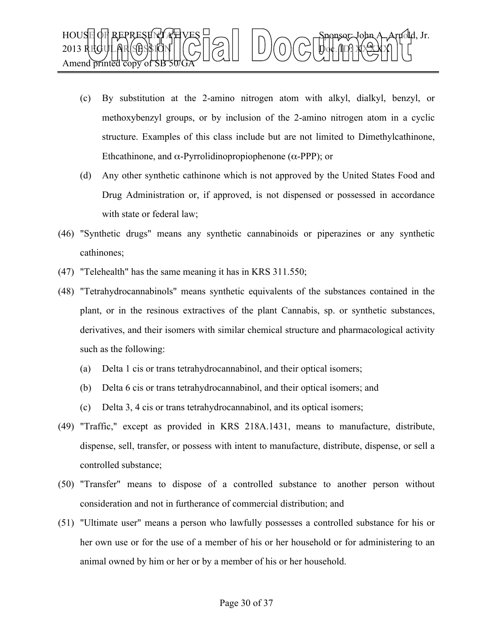

- (c) By substitution at the 2-amino nitrogen atom with alkyl, dialkyl, benzyl, or methoxybenzyl groups, or by inclusion of the 2-amino nitrogen atom in a cyclic structure. Examples of this class include but are not limited to Dimethylcathinone, Ethcathinone, and α-Pyrrolidinopropiophenone (α-PPP); or
- (d) Any other synthetic cathinone which is not approved by the United States Food and Drug Administration or, if approved, is not dispensed or possessed in accordance with state or federal law;
- (46) "Synthetic drugs" means any synthetic cannabinoids or piperazines or any synthetic cathinones;
- (47) "Telehealth" has the same meaning it has in KRS 311.550;
- (48) "Tetrahydrocannabinols" means synthetic equivalents of the substances contained in the plant, or in the resinous extractives of the plant Cannabis, sp. or synthetic substances, derivatives, and their isomers with similar chemical structure and pharmacological activity such as the following:
	- (a) Delta 1 cis or trans tetrahydrocannabinol, and their optical isomers;
	- (b) Delta 6 cis or trans tetrahydrocannabinol, and their optical isomers; and
	- (c) Delta 3, 4 cis or trans tetrahydrocannabinol, and its optical isomers;
- (49) "Traffic," except as provided in KRS 218A.1431, means to manufacture, distribute, dispense, sell, transfer, or possess with intent to manufacture, distribute, dispense, or sell a controlled substance;
- (50) "Transfer" means to dispose of a controlled substance to another person without consideration and not in furtherance of commercial distribution; and
- (51) "Ultimate user" means a person who lawfully possesses a controlled substance for his or her own use or for the use of a member of his or her household or for administering to an animal owned by him or her or by a member of his or her household.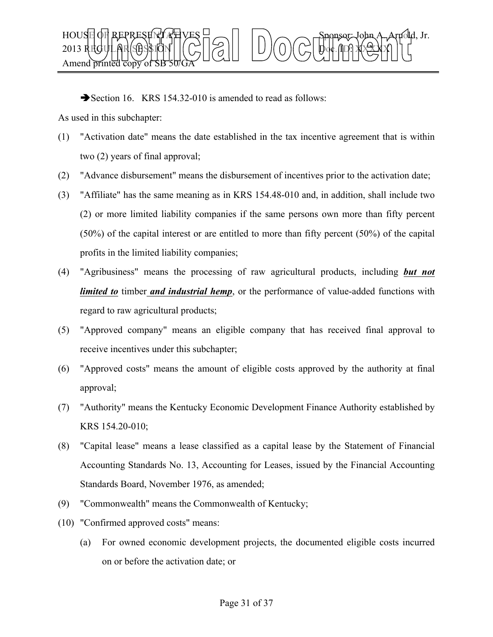

Section 16. KRS 154.32-010 is amended to read as follows:

As used in this subchapter:

- (1) "Activation date" means the date established in the tax incentive agreement that is within two (2) years of final approval;
- (2) "Advance disbursement" means the disbursement of incentives prior to the activation date;
- (3) "Affiliate" has the same meaning as in KRS 154.48-010 and, in addition, shall include two (2) or more limited liability companies if the same persons own more than fifty percent (50%) of the capital interest or are entitled to more than fifty percent (50%) of the capital profits in the limited liability companies;
- (4) "Agribusiness" means the processing of raw agricultural products, including *but not limited to* timber *and industrial hemp*, or the performance of value-added functions with regard to raw agricultural products;
- (5) "Approved company" means an eligible company that has received final approval to receive incentives under this subchapter;
- (6) "Approved costs" means the amount of eligible costs approved by the authority at final approval;
- (7) "Authority" means the Kentucky Economic Development Finance Authority established by KRS 154.20-010;
- (8) "Capital lease" means a lease classified as a capital lease by the Statement of Financial Accounting Standards No. 13, Accounting for Leases, issued by the Financial Accounting Standards Board, November 1976, as amended;
- (9) "Commonwealth" means the Commonwealth of Kentucky;
- (10) "Confirmed approved costs" means:
	- (a) For owned economic development projects, the documented eligible costs incurred on or before the activation date; or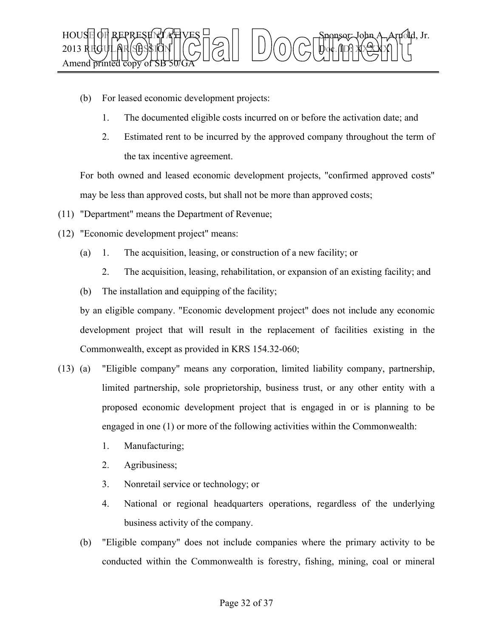

- (b) For leased economic development projects:
	- 1. The documented eligible costs incurred on or before the activation date; and
	- 2. Estimated rent to be incurred by the approved company throughout the term of the tax incentive agreement.

For both owned and leased economic development projects, "confirmed approved costs" may be less than approved costs, but shall not be more than approved costs;

- (11) "Department" means the Department of Revenue;
- (12) "Economic development project" means:
	- (a) 1. The acquisition, leasing, or construction of a new facility; or
		- 2. The acquisition, leasing, rehabilitation, or expansion of an existing facility; and
	- (b) The installation and equipping of the facility;

by an eligible company. "Economic development project" does not include any economic development project that will result in the replacement of facilities existing in the Commonwealth, except as provided in KRS 154.32-060;

- (13) (a) "Eligible company" means any corporation, limited liability company, partnership, limited partnership, sole proprietorship, business trust, or any other entity with a proposed economic development project that is engaged in or is planning to be engaged in one (1) or more of the following activities within the Commonwealth:
	- 1. Manufacturing;
	- 2. Agribusiness;
	- 3. Nonretail service or technology; or
	- 4. National or regional headquarters operations, regardless of the underlying business activity of the company.
	- (b) "Eligible company" does not include companies where the primary activity to be conducted within the Commonwealth is forestry, fishing, mining, coal or mineral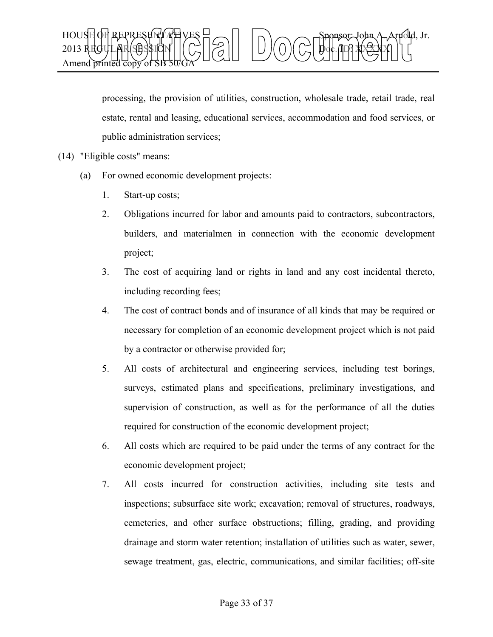

processing, the provision of utilities, construction, wholesale trade, retail trade, real estate, rental and leasing, educational services, accommodation and food services, or public administration services;

- (14) "Eligible costs" means:
	- (a) For owned economic development projects:
		- 1. Start-up costs;
		- 2. Obligations incurred for labor and amounts paid to contractors, subcontractors, builders, and materialmen in connection with the economic development project;
		- 3. The cost of acquiring land or rights in land and any cost incidental thereto, including recording fees;
		- 4. The cost of contract bonds and of insurance of all kinds that may be required or necessary for completion of an economic development project which is not paid by a contractor or otherwise provided for;
		- 5. All costs of architectural and engineering services, including test borings, surveys, estimated plans and specifications, preliminary investigations, and supervision of construction, as well as for the performance of all the duties required for construction of the economic development project;
		- 6. All costs which are required to be paid under the terms of any contract for the economic development project;
		- 7. All costs incurred for construction activities, including site tests and inspections; subsurface site work; excavation; removal of structures, roadways, cemeteries, and other surface obstructions; filling, grading, and providing drainage and storm water retention; installation of utilities such as water, sewer, sewage treatment, gas, electric, communications, and similar facilities; off-site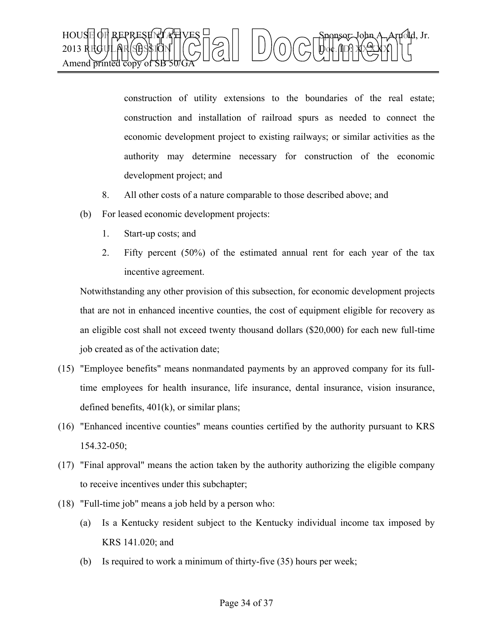

construction of utility extensions to the boundaries of the real estate; construction and installation of railroad spurs as needed to connect the economic development project to existing railways; or similar activities as the authority may determine necessary for construction of the economic development project; and

- 8. All other costs of a nature comparable to those described above; and
- (b) For leased economic development projects:
	- 1. Start-up costs; and
	- 2. Fifty percent (50%) of the estimated annual rent for each year of the tax incentive agreement.

Notwithstanding any other provision of this subsection, for economic development projects that are not in enhanced incentive counties, the cost of equipment eligible for recovery as an eligible cost shall not exceed twenty thousand dollars (\$20,000) for each new full-time job created as of the activation date;

- (15) "Employee benefits" means nonmandated payments by an approved company for its fulltime employees for health insurance, life insurance, dental insurance, vision insurance, defined benefits, 401(k), or similar plans;
- (16) "Enhanced incentive counties" means counties certified by the authority pursuant to KRS 154.32-050;
- (17) "Final approval" means the action taken by the authority authorizing the eligible company to receive incentives under this subchapter;
- (18) "Full-time job" means a job held by a person who:
	- (a) Is a Kentucky resident subject to the Kentucky individual income tax imposed by KRS 141.020; and
	- (b) Is required to work a minimum of thirty-five (35) hours per week;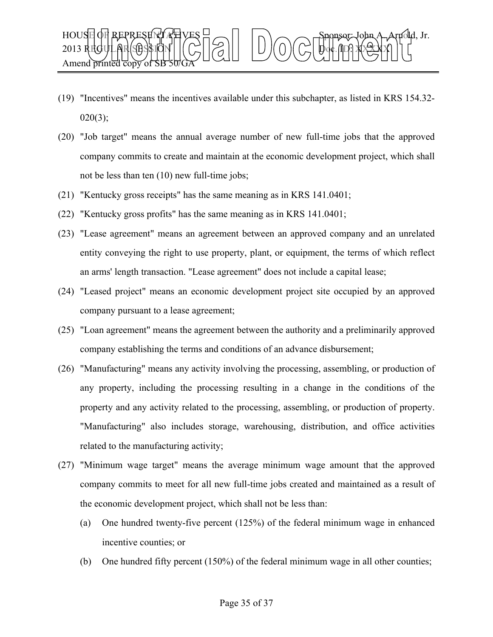

- (19) "Incentives" means the incentives available under this subchapter, as listed in KRS 154.32-  $020(3)$ ;
- (20) "Job target" means the annual average number of new full-time jobs that the approved company commits to create and maintain at the economic development project, which shall not be less than ten (10) new full-time jobs;
- (21) "Kentucky gross receipts" has the same meaning as in KRS 141.0401;
- (22) "Kentucky gross profits" has the same meaning as in KRS 141.0401;
- (23) "Lease agreement" means an agreement between an approved company and an unrelated entity conveying the right to use property, plant, or equipment, the terms of which reflect an arms' length transaction. "Lease agreement" does not include a capital lease;
- (24) "Leased project" means an economic development project site occupied by an approved company pursuant to a lease agreement;
- (25) "Loan agreement" means the agreement between the authority and a preliminarily approved company establishing the terms and conditions of an advance disbursement;
- (26) "Manufacturing" means any activity involving the processing, assembling, or production of any property, including the processing resulting in a change in the conditions of the property and any activity related to the processing, assembling, or production of property. "Manufacturing" also includes storage, warehousing, distribution, and office activities related to the manufacturing activity;
- (27) "Minimum wage target" means the average minimum wage amount that the approved company commits to meet for all new full-time jobs created and maintained as a result of the economic development project, which shall not be less than:
	- (a) One hundred twenty-five percent (125%) of the federal minimum wage in enhanced incentive counties; or
	- (b) One hundred fifty percent (150%) of the federal minimum wage in all other counties;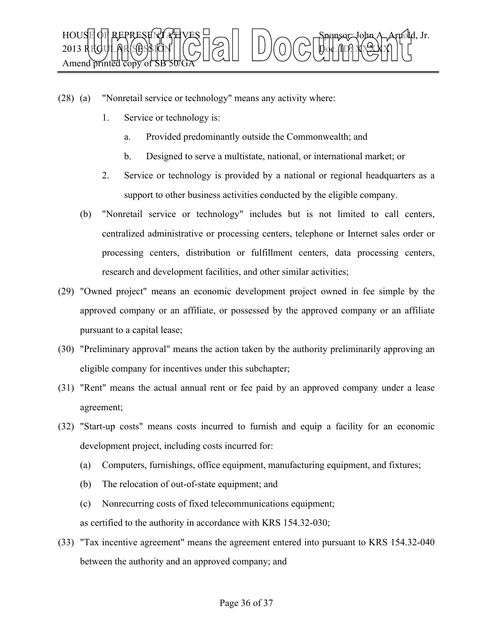

- (28) (a) "Nonretail service or technology" means any activity where:
	- 1. Service or technology is:
		- a. Provided predominantly outside the Commonwealth; and
		- b. Designed to serve a multistate, national, or international market; or
	- 2. Service or technology is provided by a national or regional headquarters as a support to other business activities conducted by the eligible company.
	- (b) "Nonretail service or technology" includes but is not limited to call centers, centralized administrative or processing centers, telephone or Internet sales order or processing centers, distribution or fulfillment centers, data processing centers, research and development facilities, and other similar activities;
- (29) "Owned project" means an economic development project owned in fee simple by the approved company or an affiliate, or possessed by the approved company or an affiliate pursuant to a capital lease;
- (30) "Preliminary approval" means the action taken by the authority preliminarily approving an eligible company for incentives under this subchapter;
- (31) "Rent" means the actual annual rent or fee paid by an approved company under a lease agreement;
- (32) "Start-up costs" means costs incurred to furnish and equip a facility for an economic development project, including costs incurred for:
	- (a) Computers, furnishings, office equipment, manufacturing equipment, and fixtures;
	- (b) The relocation of out-of-state equipment; and
	- (c) Nonrecurring costs of fixed telecommunications equipment; as certified to the authority in accordance with KRS 154.32-030;
- (33) "Tax incentive agreement" means the agreement entered into pursuant to KRS 154.32-040 between the authority and an approved company; and